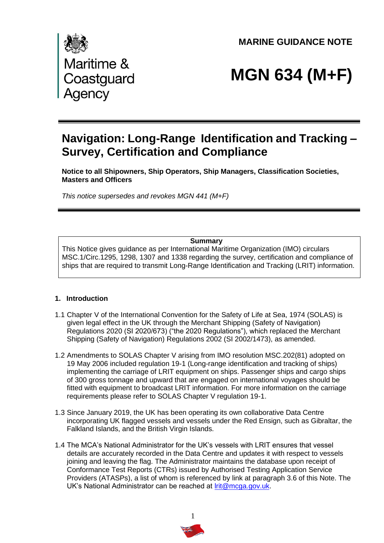**MARINE GUIDANCE NOTE** 



# **MGN 634 (M+F)**

## **Navigation: Long-Range Identification and Tracking – Survey, Certification and Compliance**

**Notice to all Shipowners, Ship Operators, Ship Managers, Classification Societies, Masters and Officers**

*This notice supersedes and revokes MGN 441 (M+F)*

#### **Summary**

This Notice gives guidance as per International Maritime Organization (IMO) circulars MSC.1/Circ.1295, 1298, 1307 and 1338 regarding the survey, certification and compliance of ships that are required to transmit Long-Range Identification and Tracking (LRIT) information.

#### **1. Introduction**

- 1.1 Chapter V of the International Convention for the Safety of Life at Sea, 1974 (SOLAS) is given legal effect in the UK through the Merchant Shipping (Safety of Navigation) Regulations 2020 (SI 2020/673) ("the 2020 Regulations"), which replaced the Merchant Shipping (Safety of Navigation) Regulations 2002 (SI 2002/1473), as amended.
- 1.2 Amendments to SOLAS Chapter V arising from IMO resolution MSC.202(81) adopted on 19 May 2006 included regulation 19-1 (Long-range identification and tracking of ships) implementing the carriage of LRIT equipment on ships. Passenger ships and cargo ships of 300 gross tonnage and upward that are engaged on international voyages should be fitted with equipment to broadcast LRIT information. For more information on the carriage requirements please refer to SOLAS Chapter V regulation 19-1.
- 1.3 Since January 2019, the UK has been operating its own collaborative Data Centre incorporating UK flagged vessels and vessels under the Red Ensign, such as Gibraltar, the Falkland Islands, and the British Virgin Islands.
- 1.4 The MCA's National Administrator for the UK's vessels with LRIT ensures that vessel details are accurately recorded in the Data Centre and updates it with respect to vessels joining and leaving the flag. The Administrator maintains the database upon receipt of Conformance Test Reports (CTRs) issued by Authorised Testing Application Service Providers (ATASPs), a list of whom is referenced by link at paragraph 3.6 of this Note. The UK's National Administrator can be reached at [lrit@mcga.gov.uk.](mailto:lrit@mcga.gov.uk)

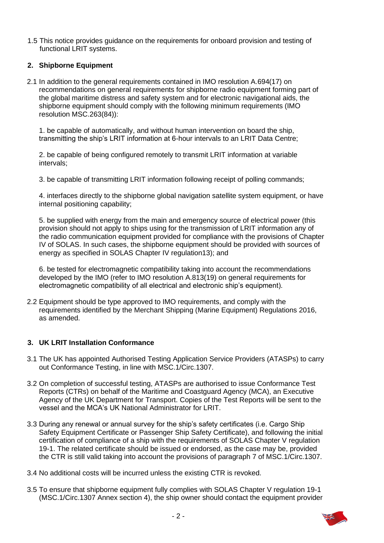1.5 This notice provides guidance on the requirements for onboard provision and testing of functional LRIT systems.

#### **2. Shipborne Equipment**

2.1 In addition to the general requirements contained in IMO resolution A.694(17) on recommendations on general requirements for shipborne radio equipment forming part of the global maritime distress and safety system and for electronic navigational aids, the shipporne equipment should comply with the following minimum requirements (IMO resolution MSC.263(84)):

1. be capable of automatically, and without human intervention on board the ship, transmitting the ship's LRIT information at 6-hour intervals to an LRIT Data Centre;

2. be capable of being configured remotely to transmit LRIT information at variable intervals;

3. be capable of transmitting LRIT information following receipt of polling commands;

4. interfaces directly to the shipborne global navigation satellite system equipment, or have internal positioning capability;

5. be supplied with energy from the main and emergency source of electrical power (this provision should not apply to ships using for the transmission of LRIT information any of the radio communication equipment provided for compliance with the provisions of Chapter IV of SOLAS. In such cases, the shipborne equipment should be provided with sources of energy as specified in SOLAS Chapter IV regulation13); and

6. be tested for electromagnetic compatibility taking into account the recommendations developed by the IMO (refer to IMO resolution A.813(19) on general requirements for electromagnetic compatibility of all electrical and electronic ship's equipment).

2.2 Equipment should be type approved to IMO requirements, and comply with the requirements identified by the Merchant Shipping (Marine Equipment) Regulations 2016, as amended.

#### **3. UK LRIT Installation Conformance**

- 3.1 The UK has appointed Authorised Testing Application Service Providers (ATASPs) to carry out Conformance Testing, in line with MSC.1/Circ.1307.
- 3.2 On completion of successful testing, ATASPs are authorised to issue Conformance Test Reports (CTRs) on behalf of the Maritime and Coastguard Agency (MCA), an Executive Agency of the UK Department for Transport. Copies of the Test Reports will be sent to the vessel and the MCA's UK National Administrator for LRIT.
- 3.3 During any renewal or annual survey for the ship's safety certificates (i.e. Cargo Ship Safety Equipment Certificate or Passenger Ship Safety Certificate), and following the initial certification of compliance of a ship with the requirements of SOLAS Chapter V regulation 19-1. The related certificate should be issued or endorsed, as the case may be, provided the CTR is still valid taking into account the provisions of paragraph 7 of MSC.1/Circ.1307.
- 3.4 No additional costs will be incurred unless the existing CTR is revoked.
- 3.5 To ensure that shipborne equipment fully complies with SOLAS Chapter V regulation 19-1 (MSC.1/Circ.1307 Annex section 4), the ship owner should contact the equipment provider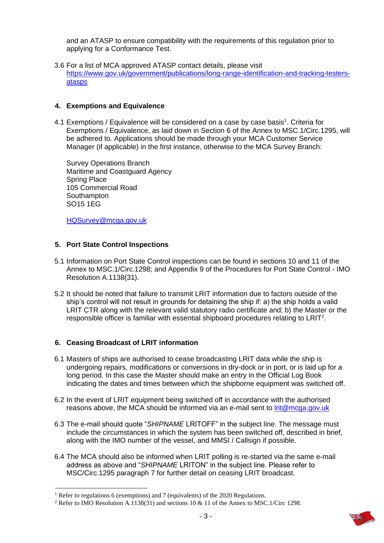and an ATASP to ensure compatibility with the requirements of this regulation prior to applying for a Conformance Test.

3.6 For a list of MCA approved ATASP contact details, please visit [https://www.gov.uk/government/publications/long-range-identification-and-tracking-testers](https://www.gov.uk/government/publications/long-range-identification-and-tracking-testers-atasps)[atasps](https://www.gov.uk/government/publications/long-range-identification-and-tracking-testers-atasps)

#### **4. Exemptions and Equivalence**

4.1 Exemptions / Equivalence will be considered on a case by case basis<sup>1</sup>. Criteria for Exemptions / Equivalence, as laid down in Section 6 of the Annex to MSC.1/Circ.1295, will be adhered to. Applications should be made through your MCA Customer Service Manager (if applicable) in the first instance, otherwise to the MCA Survey Branch:

Survey Operations Branch Maritime and Coastguard Agency Spring Place 105 Commercial Road **Southampton** SO15 1EG

[HQSurvey@mcga.gov.uk](mailto:HQSurvey@mcga.gov.uk)

#### **5. Port State Control Inspections**

- 5.1 Information on Port State Control inspections can be found in sections 10 and 11 of the Annex to MSC.1/Circ.1298; and Appendix 9 of the Procedures for Port State Control - IMO Resolution A.1138(31).
- 5.2 It should be noted that failure to transmit LRIT information due to factors outside of the ship's control will not result in grounds for detaining the ship if: a) the ship holds a valid LRIT CTR along with the relevant valid statutory radio certificate and; b) the Master or the responsible officer is familiar with essential shipboard procedures relating to LRIT<sup>2</sup>.

#### **6. Ceasing Broadcast of LRIT information**

- 6.1 Masters of ships are authorised to cease broadcasting LRIT data while the ship is undergoing repairs, modifications or conversions in dry-dock or in port, or is laid up for a long period. In this case the Master should make an entry in the Official Log Book indicating the dates and times between which the shipborne equipment was switched off.
- 6.2 In the event of LRIT equipment being switched off in accordance with the authorised reasons above, the MCA should be informed via an e-mail sent to *lrit@mcga.gov.uk*
- 6.3 The e-mail should quote "*SHIPNAME* LRITOFF" in the subject line. The message must include the circumstances in which the system has been switched off, described in brief, along with the IMO number of the vessel, and MMSI / Callsign if possible.
- 6.4 The MCA should also be informed when LRIT polling is re-started via the same e-mail address as above and "*SHIPNAME* LRITON" in the subject line. Please refer to MSC/Circ.1295 paragraph 7 for further detail on ceasing LRIT broadcast.

<sup>&</sup>lt;sup>1</sup> Refer to regulations 6 (exemptions) and 7 (equivalents) of the 2020 Regulations.

<sup>2</sup> Refer to IMO Resolution A.1138(31) and sections 10 & 11 of the Annex to MSC.1/Circ 1298.